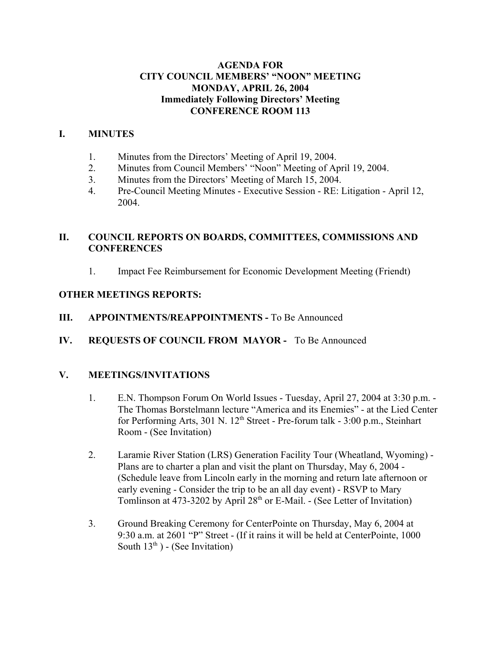### **AGENDA FOR CITY COUNCIL MEMBERS' "NOON" MEETING MONDAY, APRIL 26, 2004 Immediately Following Directors' Meeting CONFERENCE ROOM 113**

### **I. MINUTES**

- 1. Minutes from the Directors' Meeting of April 19, 2004.
- 2. Minutes from Council Members' "Noon" Meeting of April 19, 2004.
- 3. Minutes from the Directors' Meeting of March 15, 2004.
- 4. Pre-Council Meeting Minutes Executive Session RE: Litigation April 12, 2004.

# **II. COUNCIL REPORTS ON BOARDS, COMMITTEES, COMMISSIONS AND CONFERENCES**

1. Impact Fee Reimbursement for Economic Development Meeting (Friendt)

## **OTHER MEETINGS REPORTS:**

- **III.** APPOINTMENTS/REAPPOINTMENTS To Be Announced
- **IV. REQUESTS OF COUNCIL FROM MAYOR** To Be Announced

# **V. MEETINGS/INVITATIONS**

- 1. E.N. Thompson Forum On World Issues Tuesday, April 27, 2004 at 3:30 p.m. The Thomas Borstelmann lecture "America and its Enemies" - at the Lied Center for Performing Arts,  $301 \text{ N}$ .  $12^{\text{th}}$  Street - Pre-forum talk -  $3:00 \text{ p.m.}$ , Steinhart Room - (See Invitation)
- 2. Laramie River Station (LRS) Generation Facility Tour (Wheatland, Wyoming) Plans are to charter a plan and visit the plant on Thursday, May 6, 2004 - (Schedule leave from Lincoln early in the morning and return late afternoon or early evening - Consider the trip to be an all day event) - RSVP to Mary Tomlinson at 473-3202 by April 28th or E-Mail. - (See Letter of Invitation)
- 3. Ground Breaking Ceremony for CenterPointe on Thursday, May 6, 2004 at 9:30 a.m. at 2601 "P" Street - (If it rains it will be held at CenterPointe, 1000 South  $13<sup>th</sup>$ ) - (See Invitation)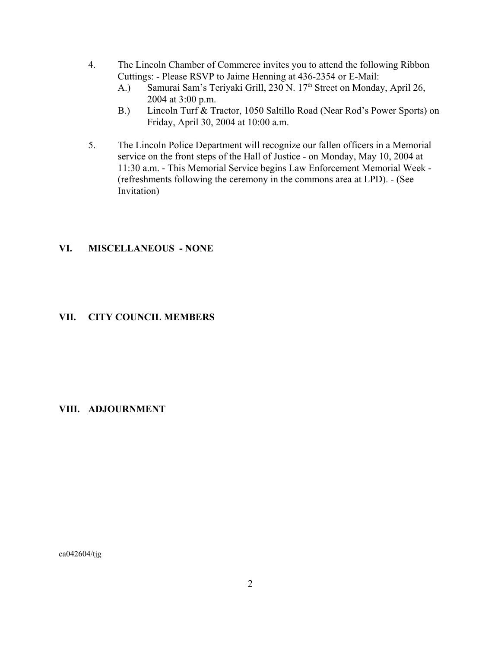- 4. The Lincoln Chamber of Commerce invites you to attend the following Ribbon Cuttings: - Please RSVP to Jaime Henning at 436-2354 or E-Mail:
	- A.) Samurai Sam's Teriyaki Grill, 230 N. 17<sup>th</sup> Street on Monday, April 26, 2004 at 3:00 p.m.
	- B.) Lincoln Turf & Tractor, 1050 Saltillo Road (Near Rod's Power Sports) on Friday, April 30, 2004 at 10:00 a.m.
- 5. The Lincoln Police Department will recognize our fallen officers in a Memorial service on the front steps of the Hall of Justice - on Monday, May 10, 2004 at 11:30 a.m. - This Memorial Service begins Law Enforcement Memorial Week - (refreshments following the ceremony in the commons area at LPD). - (See Invitation)

### **VI. MISCELLANEOUS - NONE**

### **VII. CITY COUNCIL MEMBERS**

#### **VIII. ADJOURNMENT**

ca042604/tjg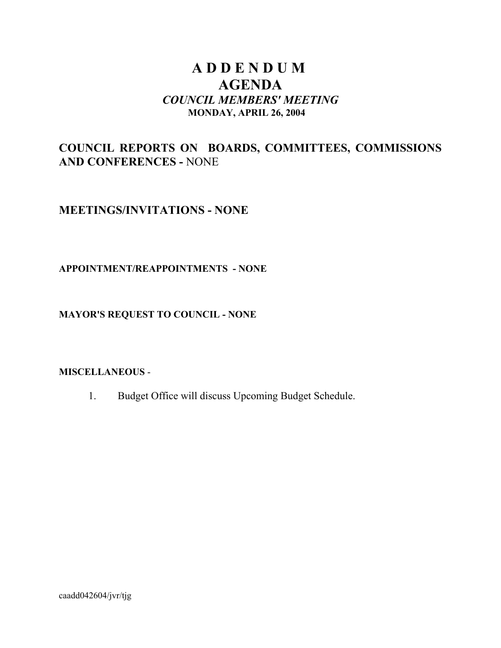# **A D D E N D U M AGENDA** *COUNCIL MEMBERS' MEETING* **MONDAY, APRIL 26, 2004**

# **COUNCIL REPORTS ON BOARDS, COMMITTEES, COMMISSIONS AND CONFERENCES -** NONE

# **MEETINGS/INVITATIONS - NONE**

## **APPOINTMENT/REAPPOINTMENTS - NONE**

## **MAYOR'S REQUEST TO COUNCIL - NONE**

### **MISCELLANEOUS** -

1. Budget Office will discuss Upcoming Budget Schedule.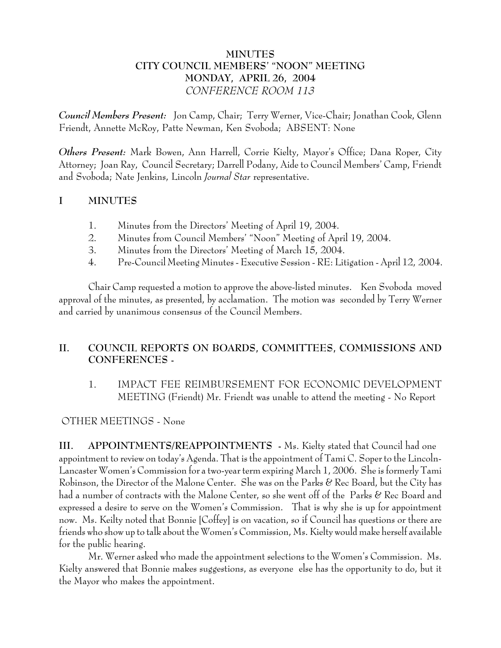## **MINUTES CITY COUNCIL MEMBERS' "NOON" MEETING MONDAY, APRIL 26, 2004** *CONFERENCE ROOM 113*

*Council Members Present:* Jon Camp, Chair; Terry Werner, Vice-Chair; Jonathan Cook, Glenn Friendt, Annette McRoy, Patte Newman, Ken Svoboda; ABSENT: None

*Others Present:* Mark Bowen, Ann Harrell, Corrie Kielty, Mayor's Office; Dana Roper, City Attorney; Joan Ray, Council Secretary; Darrell Podany, Aide to Council Members' Camp, Friendt and Svoboda; Nate Jenkins, Lincoln *Journal Star* representative.

# **I MINUTES**

- 1. Minutes from the Directors' Meeting of April 19, 2004.
- 2. Minutes from Council Members' "Noon" Meeting of April 19, 2004.
- 3. Minutes from the Directors' Meeting of March 15, 2004.
- 4. Pre-Council Meeting Minutes Executive Session RE: Litigation April 12, 2004.

Chair Camp requested a motion to approve the above-listed minutes. Ken Svoboda moved approval of the minutes, as presented, by acclamation. The motion was seconded by Terry Werner and carried by unanimous consensus of the Council Members.

# **II. COUNCIL REPORTS ON BOARDS, COMMITTEES, COMMISSIONS AND CONFERENCES -**

1. IMPACT FEE REIMBURSEMENT FOR ECONOMIC DEVELOPMENT MEETING (Friendt) Mr. Friendt was unable to attend the meeting - No Report

### OTHER MEETINGS - None

**III. APPOINTMENTS/REAPPOINTMENTS -** Ms. Kielty stated that Council had one appointment to review on today's Agenda. That is the appointment of Tami C. Soper to the Lincoln-Lancaster Women's Commission for a two-year term expiring March 1, 2006. She is formerly Tami Robinson, the Director of the Malone Center. She was on the Parks & Rec Board, but the City has had a number of contracts with the Malone Center, so she went off of the Parks & Rec Board and expressed a desire to serve on the Women's Commission. That is why she is up for appointment now. Ms. Keilty noted that Bonnie [Coffey] is on vacation, so if Council has questions or there are friends who show up to talk about the Women's Commission, Ms. Kielty would make herself available for the public hearing.

Mr. Werner asked who made the appointment selections to the Women's Commission. Ms. Kielty answered that Bonnie makes suggestions, as everyone else has the opportunity to do, but it the Mayor who makes the appointment.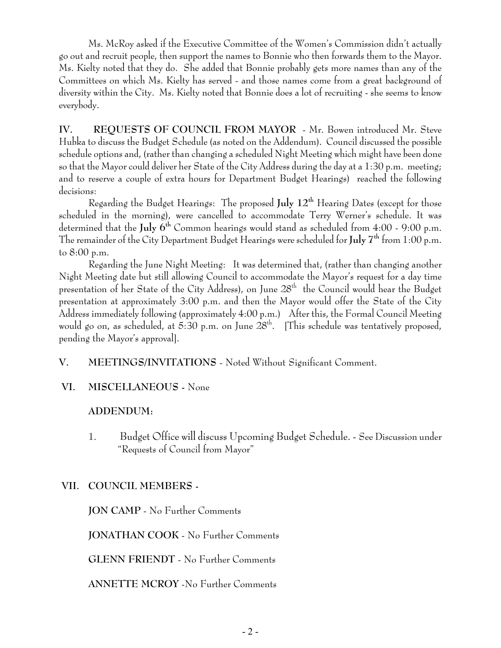Ms. McRoy asked if the Executive Committee of the Women's Commission didn't actually go out and recruit people, then support the names to Bonnie who then forwards them to the Mayor. Ms. Kielty noted that they do. She added that Bonnie probably gets more names than any of the Committees on which Ms. Kielty has served - and those names come from a great background of diversity within the City. Ms. Kielty noted that Bonnie does a lot of recruiting - she seems to know everybody.

**IV. REQUESTS OF COUNCIL FROM MAYOR** - Mr. Bowen introduced Mr. Steve Hubka to discuss the Budget Schedule (as noted on the Addendum). Council discussed the possible schedule options and, (rather than changing a scheduled Night Meeting which might have been done so that the Mayor could deliver her State of the City Address during the day at a 1:30 p.m. meeting; and to reserve a couple of extra hours for Department Budget Hearings) reached the following decisions:

Regarding the Budget Hearings: The proposed **July 12th** Hearing Dates (except for those scheduled in the morning), were cancelled to accommodate Terry Werner's schedule. It was determined that the **July 6th** Common hearings would stand as scheduled from 4:00 - 9:00 p.m. The remainder of the City Department Budget Hearings were scheduled for **July 7th** from 1:00 p.m. to 8:00 p.m.

Regarding the June Night Meeting: It was determined that, (rather than changing another Night Meeting date but still allowing Council to accommodate the Mayor's request for a day time presentation of her State of the City Address), on June  $28<sup>th</sup>$  the Council would hear the Budget presentation at approximately 3:00 p.m. and then the Mayor would offer the State of the City Address immediately following (approximately 4:00 p.m.) After this, the Formal Council Meeting would go on, as scheduled, at 5:30 p.m. on June  $28<sup>th</sup>$ . [This schedule was tentatively proposed, pending the Mayor's approval].

- **V. MEETINGS/INVITATIONS** Noted Without Significant Comment.
- **VI. MISCELLANEOUS -** None

### **ADDENDUM:**

1. Budget Office will discuss Upcoming Budget Schedule. - See Discussion under "Requests of Council from Mayor"

# **VII. COUNCIL MEMBERS -**

**JON CAMP** - No Further Comments

**JONATHAN COOK** - No Further Comments

**GLENN FRIENDT** - No Further Comments

**ANNETTE MCROY** -No Further Comments